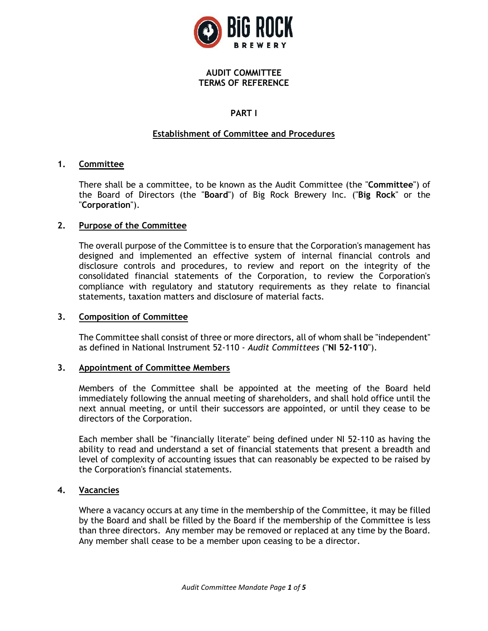

### **AUDIT COMMITTEE TERMS OF REFERENCE**

# **PART I**

# **Establishment of Committee and Procedures**

### **1. Committee**

There shall be a committee, to be known as the Audit Committee (the "**Committee**") of the Board of Directors (the "**Board**") of Big Rock Brewery Inc. ("**Big Rock**" or the "**Corporation**").

### **2. Purpose of the Committee**

The overall purpose of the Committee is to ensure that the Corporation's management has designed and implemented an effective system of internal financial controls and disclosure controls and procedures, to review and report on the integrity of the consolidated financial statements of the Corporation, to review the Corporation's compliance with regulatory and statutory requirements as they relate to financial statements, taxation matters and disclosure of material facts.

#### **3. Composition of Committee**

The Committee shall consist of three or more directors, all of whom shall be "independent" as defined in National Instrument 52-110 - *Audit Committees* ("**NI 52-110**").

#### **3. Appointment of Committee Members**

Members of the Committee shall be appointed at the meeting of the Board held immediately following the annual meeting of shareholders, and shall hold office until the next annual meeting, or until their successors are appointed, or until they cease to be directors of the Corporation.

Each member shall be "financially literate" being defined under NI 52-110 as having the ability to read and understand a set of financial statements that present a breadth and level of complexity of accounting issues that can reasonably be expected to be raised by the Corporation's financial statements.

#### **4. Vacancies**

Where a vacancy occurs at any time in the membership of the Committee, it may be filled by the Board and shall be filled by the Board if the membership of the Committee is less than three directors. Any member may be removed or replaced at any time by the Board. Any member shall cease to be a member upon ceasing to be a director.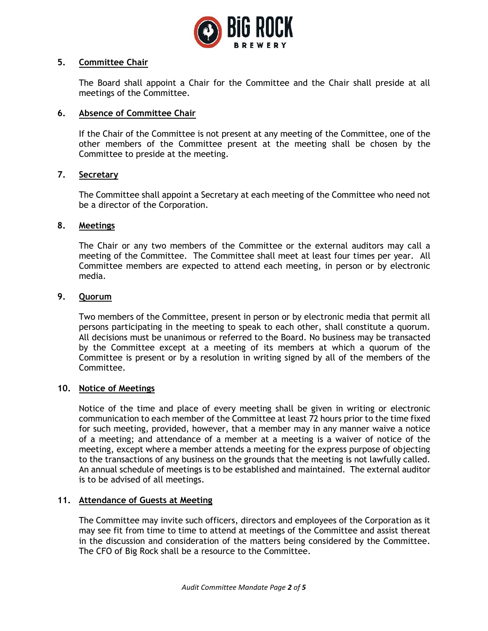

#### **5. Committee Chair**

The Board shall appoint a Chair for the Committee and the Chair shall preside at all meetings of the Committee.

## **6. Absence of Committee Chair**

If the Chair of the Committee is not present at any meeting of the Committee, one of the other members of the Committee present at the meeting shall be chosen by the Committee to preside at the meeting.

### **7. Secretary**

The Committee shall appoint a Secretary at each meeting of the Committee who need not be a director of the Corporation.

### **8. Meetings**

The Chair or any two members of the Committee or the external auditors may call a meeting of the Committee. The Committee shall meet at least four times per year. All Committee members are expected to attend each meeting, in person or by electronic media.

### **9. Quorum**

Two members of the Committee, present in person or by electronic media that permit all persons participating in the meeting to speak to each other, shall constitute a quorum. All decisions must be unanimous or referred to the Board. No business may be transacted by the Committee except at a meeting of its members at which a quorum of the Committee is present or by a resolution in writing signed by all of the members of the Committee.

#### **10. Notice of Meetings**

Notice of the time and place of every meeting shall be given in writing or electronic communication to each member of the Committee at least 72 hours prior to the time fixed for such meeting, provided, however, that a member may in any manner waive a notice of a meeting; and attendance of a member at a meeting is a waiver of notice of the meeting, except where a member attends a meeting for the express purpose of objecting to the transactions of any business on the grounds that the meeting is not lawfully called. An annual schedule of meetings is to be established and maintained. The external auditor is to be advised of all meetings.

#### **11. Attendance of Guests at Meeting**

The Committee may invite such officers, directors and employees of the Corporation as it may see fit from time to time to attend at meetings of the Committee and assist thereat in the discussion and consideration of the matters being considered by the Committee. The CFO of Big Rock shall be a resource to the Committee.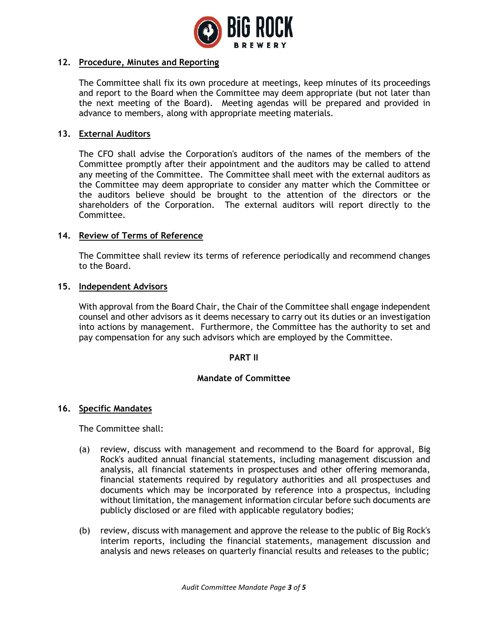

## **12. Procedure, Minutes and Reporting**

The Committee shall fix its own procedure at meetings, keep minutes of its proceedings and report to the Board when the Committee may deem appropriate (but not later than the next meeting of the Board). Meeting agendas will be prepared and provided in advance to members, along with appropriate meeting materials.

### **13. External Auditors**

The CFO shall advise the Corporation's auditors of the names of the members of the Committee promptly after their appointment and the auditors may be called to attend any meeting of the Committee. The Committee shall meet with the external auditors as the Committee may deem appropriate to consider any matter which the Committee or the auditors believe should be brought to the attention of the directors or the shareholders of the Corporation. The external auditors will report directly to the Committee.

### **14. Review of Terms of Reference**

The Committee shall review its terms of reference periodically and recommend changes to the Board.

#### **15. Independent Advisors**

With approval from the Board Chair, the Chair of the Committee shall engage independent counsel and other advisors as it deems necessary to carry out its duties or an investigation into actions by management. Furthermore, the Committee has the authority to set and pay compensation for any such advisors which are employed by the Committee.

#### **PART II**

### **Mandate of Committee**

#### **16. Specific Mandates**

The Committee shall:

- (a) review, discuss with management and recommend to the Board for approval, Big Rock's audited annual financial statements, including management discussion and analysis, all financial statements in prospectuses and other offering memoranda, financial statements required by regulatory authorities and all prospectuses and documents which may be incorporated by reference into a prospectus, including without limitation, the management information circular before such documents are publicly disclosed or are filed with applicable regulatory bodies;
- (b) review, discuss with management and approve the release to the public of Big Rock's interim reports, including the financial statements, management discussion and analysis and news releases on quarterly financial results and releases to the public;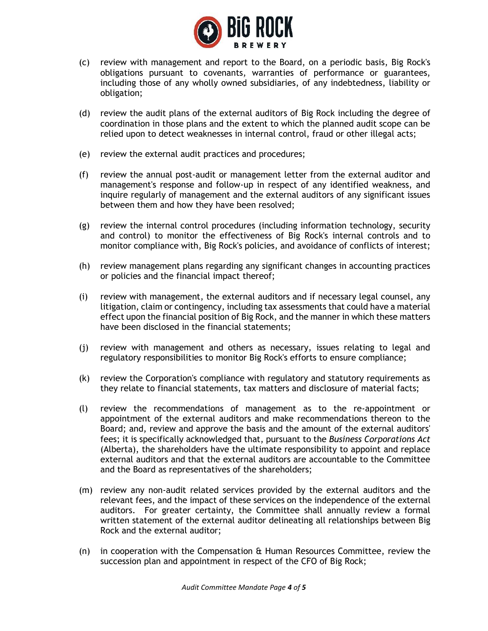

- (c) review with management and report to the Board, on a periodic basis, Big Rock's obligations pursuant to covenants, warranties of performance or guarantees, including those of any wholly owned subsidiaries, of any indebtedness, liability or obligation;
- (d) review the audit plans of the external auditors of Big Rock including the degree of coordination in those plans and the extent to which the planned audit scope can be relied upon to detect weaknesses in internal control, fraud or other illegal acts;
- (e) review the external audit practices and procedures;
- (f) review the annual post-audit or management letter from the external auditor and management's response and follow-up in respect of any identified weakness, and inquire regularly of management and the external auditors of any significant issues between them and how they have been resolved;
- (g) review the internal control procedures (including information technology, security and control) to monitor the effectiveness of Big Rock's internal controls and to monitor compliance with, Big Rock's policies, and avoidance of conflicts of interest;
- (h) review management plans regarding any significant changes in accounting practices or policies and the financial impact thereof;
- (i) review with management, the external auditors and if necessary legal counsel, any litigation, claim or contingency, including tax assessments that could have a material effect upon the financial position of Big Rock, and the manner in which these matters have been disclosed in the financial statements;
- (j) review with management and others as necessary, issues relating to legal and regulatory responsibilities to monitor Big Rock's efforts to ensure compliance;
- (k) review the Corporation's compliance with regulatory and statutory requirements as they relate to financial statements, tax matters and disclosure of material facts;
- (l) review the recommendations of management as to the re-appointment or appointment of the external auditors and make recommendations thereon to the Board; and, review and approve the basis and the amount of the external auditors' fees; it is specifically acknowledged that, pursuant to the *Business Corporations Act* (Alberta), the shareholders have the ultimate responsibility to appoint and replace external auditors and that the external auditors are accountable to the Committee and the Board as representatives of the shareholders;
- (m) review any non-audit related services provided by the external auditors and the relevant fees, and the impact of these services on the independence of the external auditors. For greater certainty, the Committee shall annually review a formal written statement of the external auditor delineating all relationships between Big Rock and the external auditor;
- (n) in cooperation with the Compensation & Human Resources Committee, review the succession plan and appointment in respect of the CFO of Big Rock;